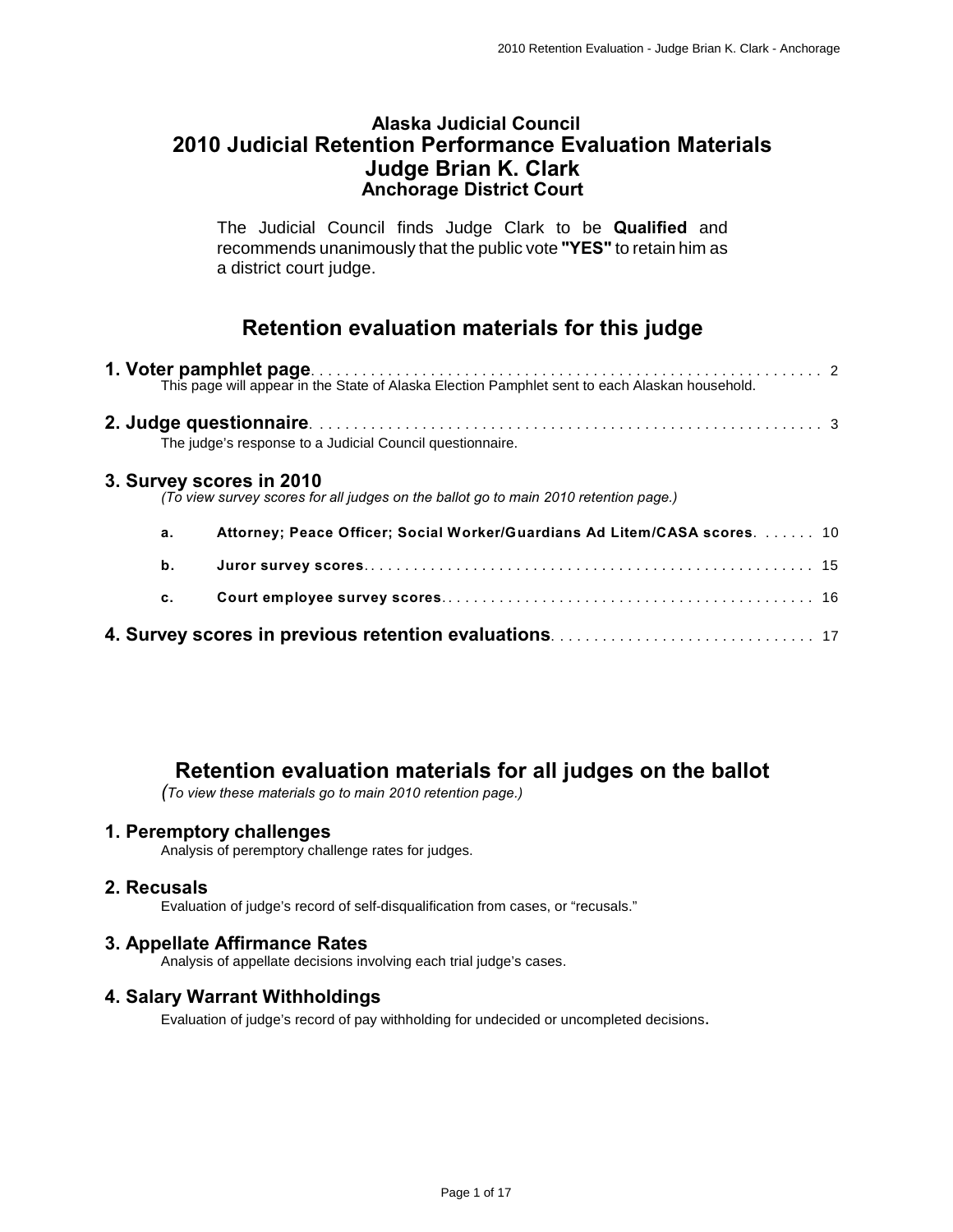#### **Alaska Judicial Council 2010 Judicial Retention Performance Evaluation Materials Judge Brian K. Clark Anchorage District Court**

The Judicial Council finds Judge Clark to be **Qualified** and recommends unanimously that the public vote **"YES"** to retain him as a district court judge.

## **Retention evaluation materials for this judge**

|    | The judge's response to a Judicial Council questionnaire.                                                        |  |
|----|------------------------------------------------------------------------------------------------------------------|--|
|    | 3. Survey scores in 2010<br>(To view survey scores for all judges on the ballot go to main 2010 retention page.) |  |
| a. | Attorney; Peace Officer; Social Worker/Guardians Ad Litem/CASA scores.  10                                       |  |
| b. |                                                                                                                  |  |
| c. |                                                                                                                  |  |
|    |                                                                                                                  |  |

## **Retention evaluation materials for all judges on the ballot**

*(To view these materials go to main 2010 retention page.)*

#### **1. Peremptory challenges**

Analysis of peremptory challenge rates for judges.

#### **2. Recusals**

Evaluation of judge's record of self-disqualification from cases, or "recusals."

#### **3. Appellate Affirmance Rates**

Analysis of appellate decisions involving each trial judge's cases.

#### **4. Salary Warrant Withholdings**

Evaluation of judge's record of pay withholding for undecided or uncompleted decisions.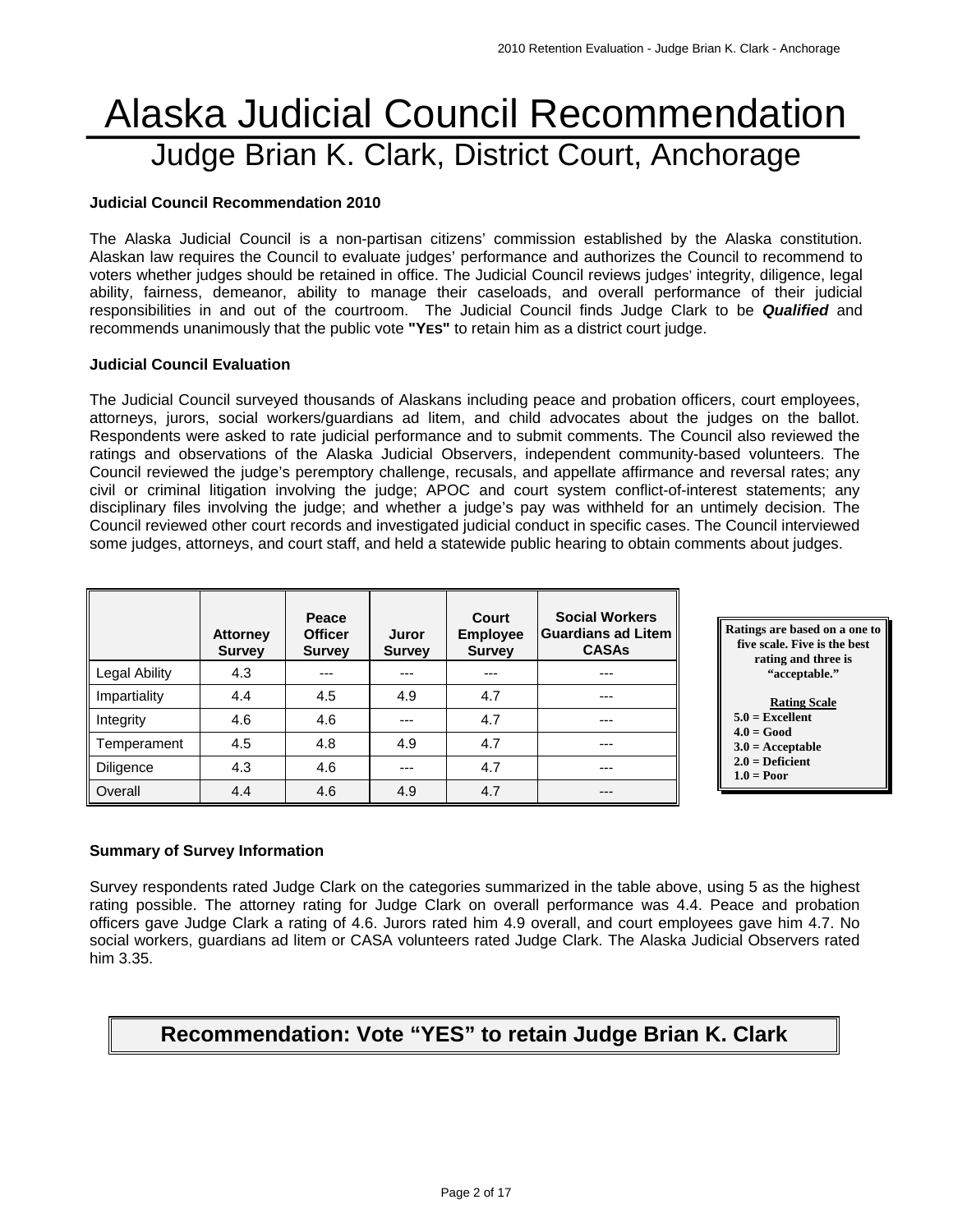# Alaska Judicial Council Recommendation Judge Brian K. Clark, District Court, Anchorage

#### **Judicial Council Recommendation 2010**

The Alaska Judicial Council is a non-partisan citizens' commission established by the Alaska constitution. Alaskan law requires the Council to evaluate judges' performance and authorizes the Council to recommend to voters whether judges should be retained in office. The Judicial Council reviews judges' integrity, diligence, legal ability, fairness, demeanor, ability to manage their caseloads, and overall performance of their judicial responsibilities in and out of the courtroom. The Judicial Council finds Judge Clark to be *Qualified* and recommends unanimously that the public vote **"YES"** to retain him as a district court judge.

#### **Judicial Council Evaluation**

The Judicial Council surveyed thousands of Alaskans including peace and probation officers, court employees, attorneys, jurors, social workers/guardians ad litem, and child advocates about the judges on the ballot. Respondents were asked to rate judicial performance and to submit comments. The Council also reviewed the ratings and observations of the Alaska Judicial Observers, independent community-based volunteers. The Council reviewed the judge's peremptory challenge, recusals, and appellate affirmance and reversal rates; any civil or criminal litigation involving the judge; APOC and court system conflict-of-interest statements; any disciplinary files involving the judge; and whether a judge's pay was withheld for an untimely decision. The Council reviewed other court records and investigated judicial conduct in specific cases. The Council interviewed some judges, attorneys, and court staff, and held a statewide public hearing to obtain comments about judges.

|               | <b>Attorney</b><br><b>Survey</b> | Peace<br><b>Officer</b><br><b>Survey</b> | Juror<br><b>Survey</b> | Court<br><b>Employee</b><br><b>Survey</b> | <b>Social Workers</b><br><b>Guardians ad Litem</b><br><b>CASAs</b> |
|---------------|----------------------------------|------------------------------------------|------------------------|-------------------------------------------|--------------------------------------------------------------------|
| Legal Ability | 4.3                              | ---                                      |                        | ---                                       | ---                                                                |
| Impartiality  | 4.4                              | 4.5                                      | 4.9                    | 4.7                                       | ---                                                                |
| Integrity     | 4.6                              | 4.6                                      |                        | 4.7                                       | ---                                                                |
| Temperament   | 4.5                              | 4.8                                      | 4.9                    | 4.7                                       | ---                                                                |
| Diligence     | 4.3                              | 4.6                                      | ---                    | 4.7                                       | ---                                                                |
| Overall       | 4.4                              | 4.6                                      | 4.9                    | 4.7                                       | $---$                                                              |



#### **Summary of Survey Information**

Survey respondents rated Judge Clark on the categories summarized in the table above, using 5 as the highest rating possible. The attorney rating for Judge Clark on overall performance was 4.4. Peace and probation officers gave Judge Clark a rating of 4.6. Jurors rated him 4.9 overall, and court employees gave him 4.7. No social workers, guardians ad litem or CASA volunteers rated Judge Clark. The Alaska Judicial Observers rated him 3.35.

## **Recommendation: Vote "YES" to retain Judge Brian K. Clark**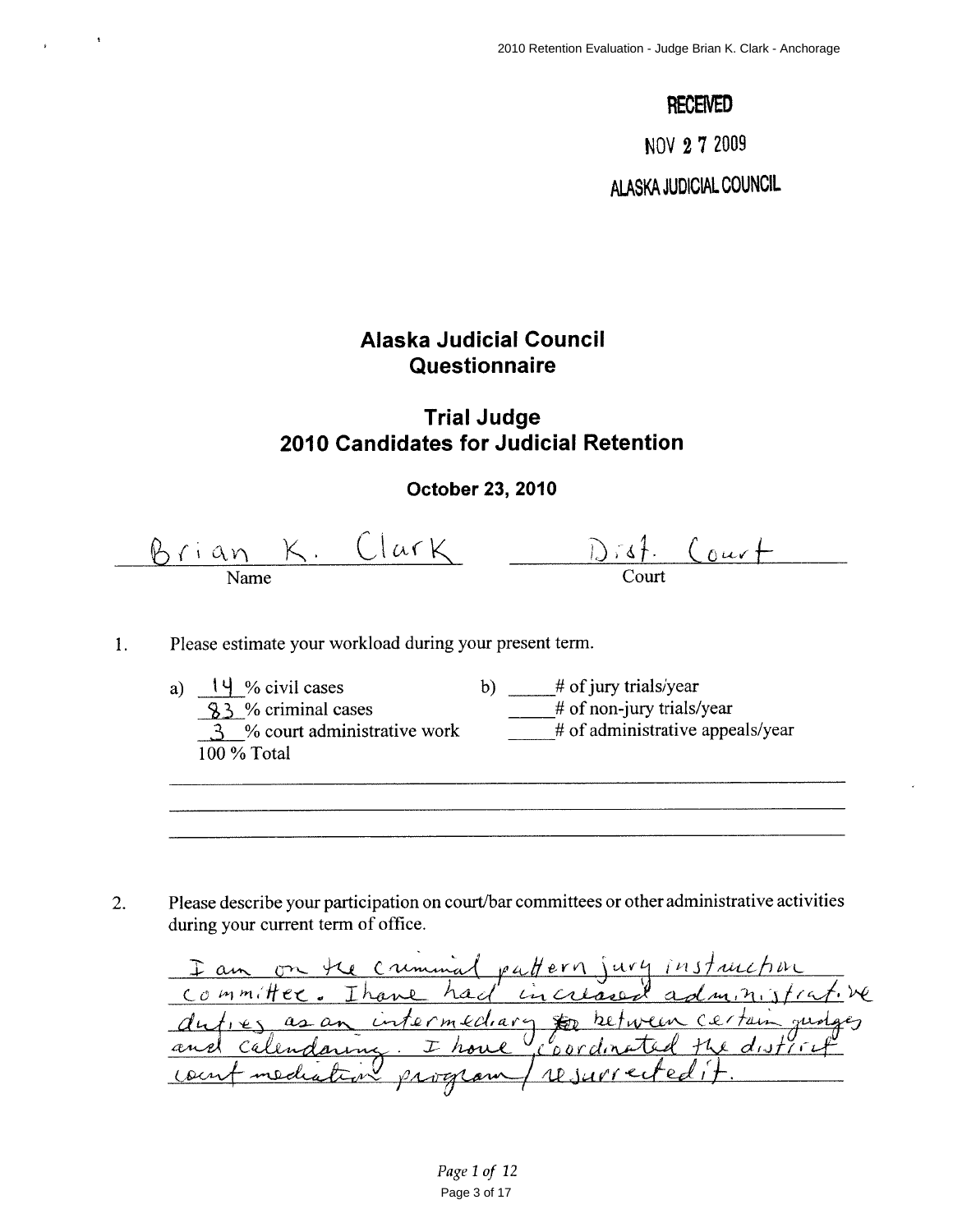## **RECEIVED**

NOV 27 2009

ALASKA JUDICIAL COUNCIL

## Alaska Judicial Council Questionnaire

## **Trial Judge** 2010 Candidates for Judicial Retention

#### October 23, 2010

<u>Brian K. Clark</u>  $\frac{D \cdot 6f}{C_{\text{out}}}$ 

- Please estimate your workload during your present term.  $\mathbf{1}$ .
	- $\frac{14}{83}$ % civil cases<br> $\frac{83}{8}$ % criminal cases a)  $14\%$  civil cases b)  $\frac{\#}{\#}$  of jury trials/year  $#$  of non-jury trials/year  $\overline{\hspace{1cm}}$  # of administrative appeals/year  $\frac{3}{3}$  % court administrative work 100 % Total

Please describe your participation on court/bar committees or other administrative activities  $2.$ during your current term of office.

I am on the criminal pattern jury instruction<br>committee. Thank had included administrative<br>and calendaring. I have coordinated the district<br>count mediation program / resurrected it.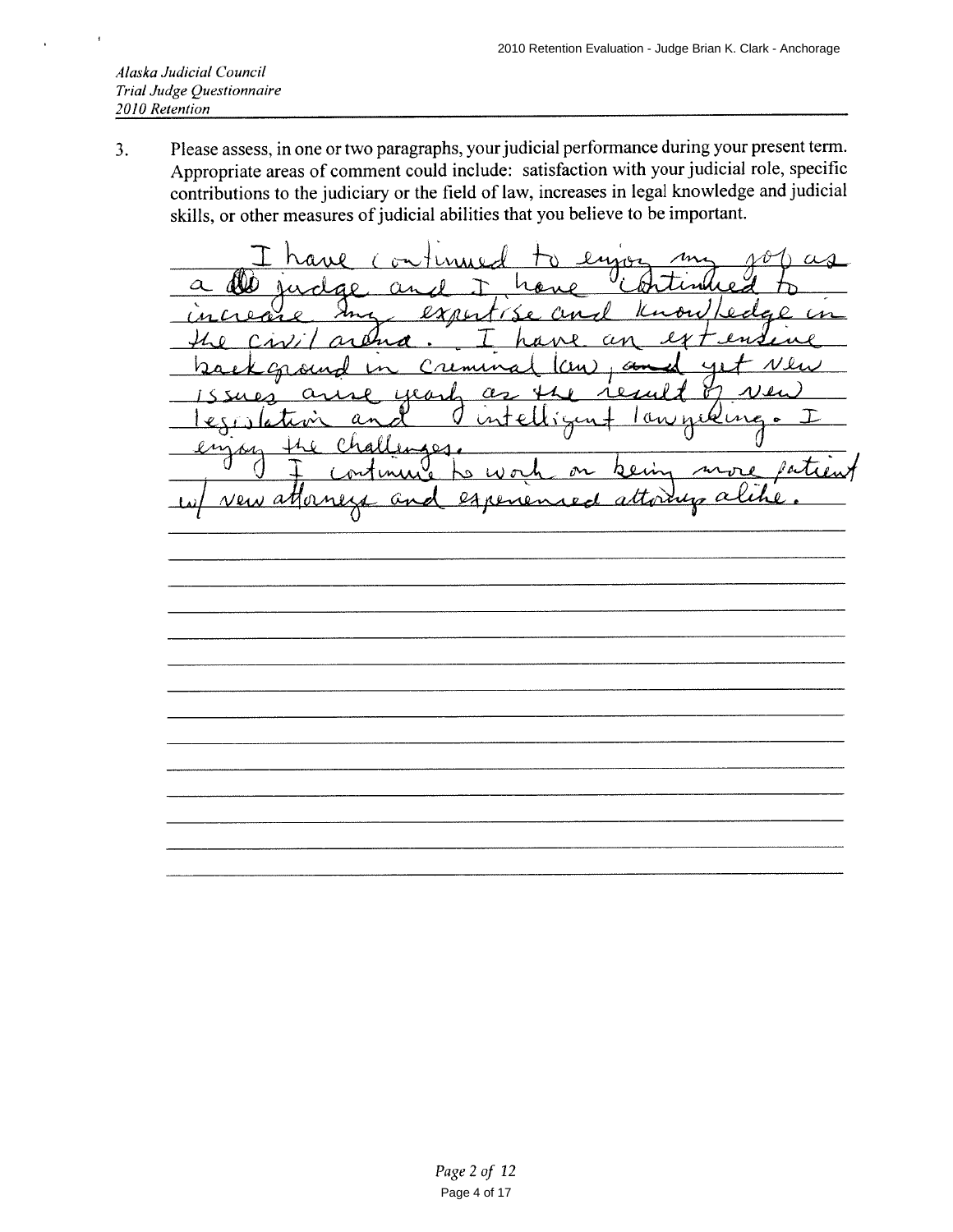Please assess, in one or two paragraphs, your judicial performance during your present term.  $3.$ Appropriate areas of comment could include: satisfaction with your judicial role, specific contributions to the judiciary or the field of law, increases in legal knowledge and judicial skills, or other measures of judicial abilities that you believe to be important.

enna  $x$ ri  $\bigcap$ G  $\left($ M  $\boldsymbol{0}$ Æ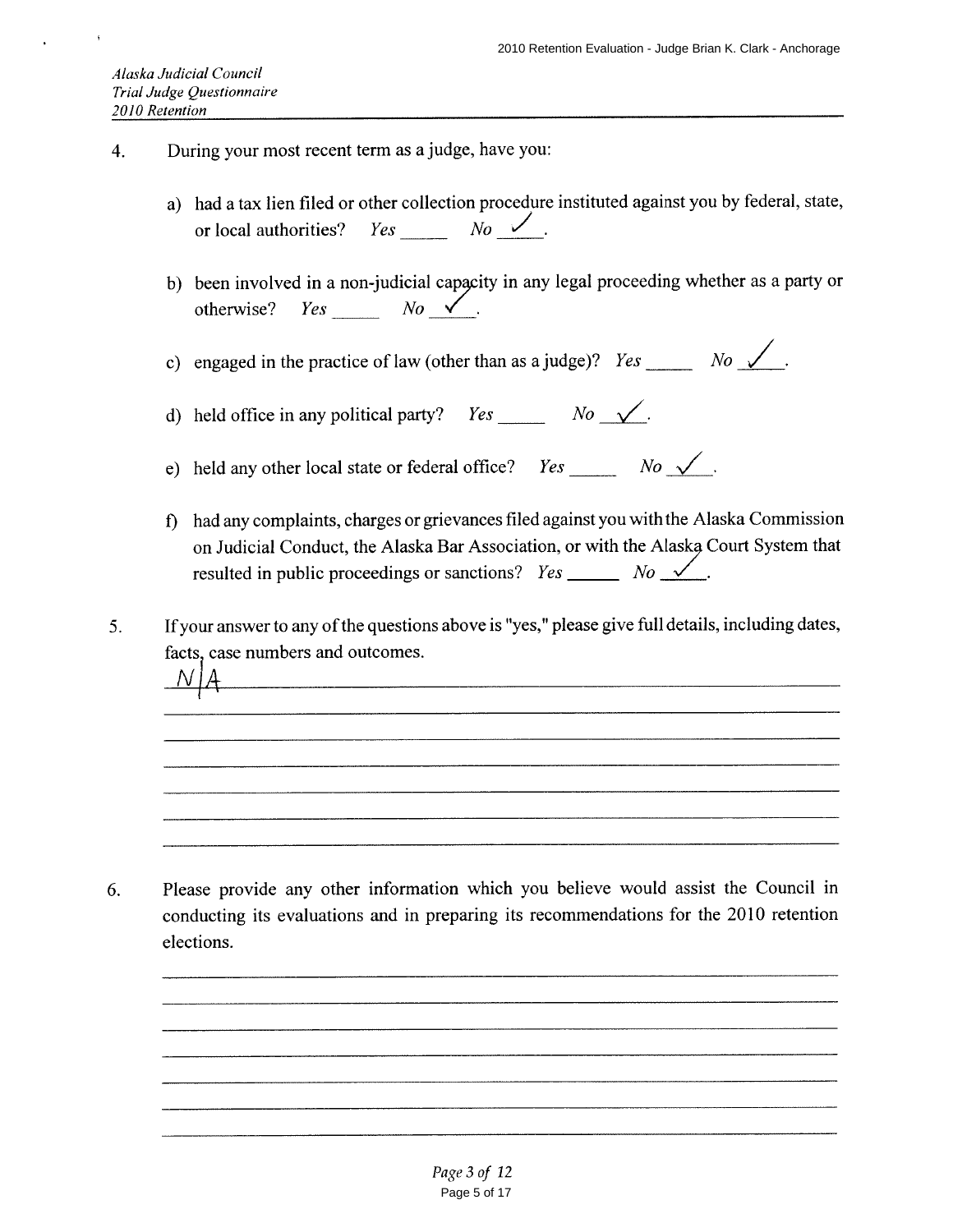- During your most recent term as a judge, have you: 4.
	- a) had a tax lien filed or other collection procedure instituted against you by federal, state,  $Yes \hspace{0.1cm} No \hspace{0.1cm}$ or local authorities?
	- b) been involved in a non-judicial capacity in any legal proceeding whether as a party or  $Yes \t No \t \sim \t$ . otherwise?

c) engaged in the practice of law (other than as a judge)?  $Yes \_\_\_\_No \_\_No \_\_$ .

d) held office in any political party? *Yes*  $\begin{array}{ccc} No & \sqrt{} \end{array}$ 

e) held any other local state or federal office? Yes \_\_\_\_\_\_\_ No  $\sqrt{2}$ .

- f) had any complaints, charges or grievances filed against you with the Alaska Commission on Judicial Conduct, the Alaska Bar Association, or with the Alaska Court System that resulted in public proceedings or sanctions? Yes \_\_\_\_\_\_\_ No  $\sqrt{2}$ .
- If your answer to any of the questions above is "yes," please give full details, including dates,  $5<sub>1</sub>$ facts, case numbers and outcomes.

Please provide any other information which you believe would assist the Council in 6. conducting its evaluations and in preparing its recommendations for the 2010 retention elections.

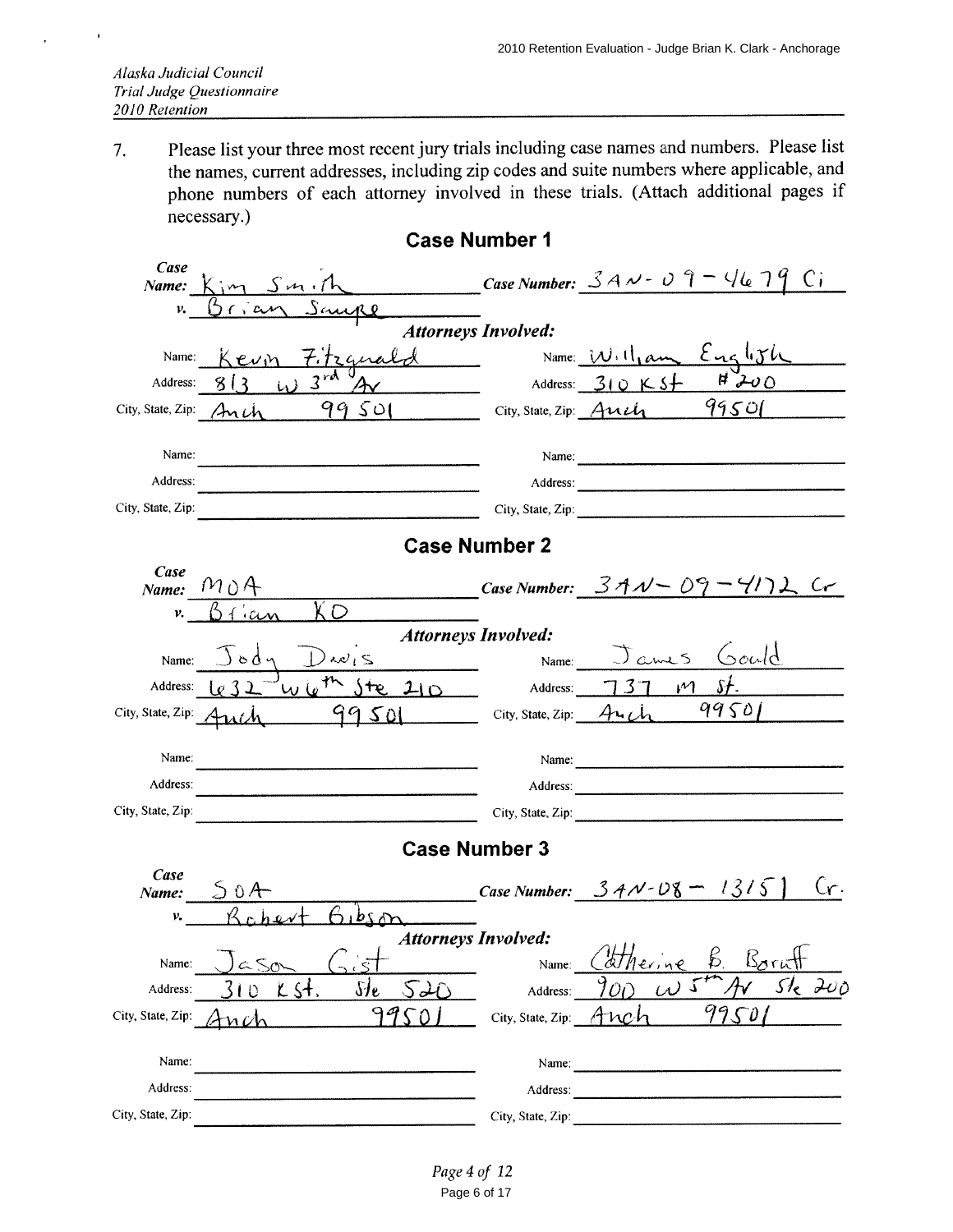Please list your three most recent jury trials including case names and numbers. Please list 7. the names, current addresses, including zip codes and suite numbers where applicable, and phone numbers of each attorney involved in these trials. (Attach additional pages if necessary.)

| Case              | Name: $K_{1}m$ Sun, the Case Number: $3A-v-0$ $7-46$ 79 Ci                 |                            |                                                                                                                                                                                                                                |
|-------------------|----------------------------------------------------------------------------|----------------------------|--------------------------------------------------------------------------------------------------------------------------------------------------------------------------------------------------------------------------------|
| v.                | Grian Saure                                                                |                            |                                                                                                                                                                                                                                |
|                   |                                                                            | <b>Attorneys Involved:</b> |                                                                                                                                                                                                                                |
| Name:             | Kevn Fitzguald                                                             |                            | Name: William English                                                                                                                                                                                                          |
| Address:          | $423\pi$<br>813                                                            |                            | $H^{\vee}$<br>Address: $310K5+$                                                                                                                                                                                                |
|                   | 99501<br>City, State, Zip: $\text{An}\mu$                                  | City, State, Zip: $And$    | 99501                                                                                                                                                                                                                          |
| Name:             |                                                                            |                            | Name: 2008. [2010]                                                                                                                                                                                                             |
| Address:          |                                                                            |                            |                                                                                                                                                                                                                                |
| City, State, Zip: |                                                                            |                            | City, State, Zip: 2008. Experience of the State of Table 1. The State of Table 1. The State of Table 1. The State of Table 1. The State of Table 1. The State of Table 1. The State of Table 1. The State of Table 1. The Stat |
|                   |                                                                            | <b>Case Number 2</b>       |                                                                                                                                                                                                                                |
| Case              | Name: $M \cup A$                                                           |                            | Case Number: $34\sqrt{-09}$ – $41\sqrt{2}$ Cr                                                                                                                                                                                  |
| ν.                | XО<br>01                                                                   |                            |                                                                                                                                                                                                                                |
|                   | <b>Attorneys Involved:</b>                                                 |                            |                                                                                                                                                                                                                                |
| Name:             | $Jody$ $Dwis$ __                                                           |                            | Name: James Gould                                                                                                                                                                                                              |
| Address:          | $v_{\text{W}}$ le <sup>th</sup> ste $210$ Address: $737$ M st.             |                            |                                                                                                                                                                                                                                |
|                   | City, State, Zip: $\frac{4u(h)}{9950}$ City, State, Zip: $\frac{4u(h)}{h}$ |                            | 99501                                                                                                                                                                                                                          |
| Name:             |                                                                            |                            |                                                                                                                                                                                                                                |
| Address:          |                                                                            |                            | Address:                                                                                                                                                                                                                       |
| City, State, Zip: |                                                                            |                            | City, State, Zip:                                                                                                                                                                                                              |
|                   | <b>Case Number 3</b>                                                       |                            |                                                                                                                                                                                                                                |
| Case              | Name: $50A$                                                                |                            | Cr.<br><b>Case Number:</b> $34N - D8 - 1315$                                                                                                                                                                                   |
| ν.                | $A_1b_5$                                                                   |                            |                                                                                                                                                                                                                                |
|                   | <b>Attorneys Involved:</b>                                                 |                            |                                                                                                                                                                                                                                |
| Name:             | - 1<br>$\approx$ So                                                        | Name:                      | $\Delta H$ $\sim$ $\sim$ $\Gamma$<br><u>Korutt</u><br><u> ATherine</u>                                                                                                                                                         |
| Address:          | $\frac{\delta H_{\rm e}}{\delta E}$<br><u>K St.</u><br>10<br>S ID          | Address:                   | sk Zup<br>$\omega$<br>$\mathcal{O}(\mathcal{O})$                                                                                                                                                                               |
| City, State, Zip: | 9<br>n (/                                                                  | City, State, Zip:          | Anct                                                                                                                                                                                                                           |
| Name:             |                                                                            | Name:                      |                                                                                                                                                                                                                                |
| Address:          |                                                                            | Address:                   |                                                                                                                                                                                                                                |
| City, State, Zip: |                                                                            | City, State, Zip:          |                                                                                                                                                                                                                                |

#### **Case Number 1**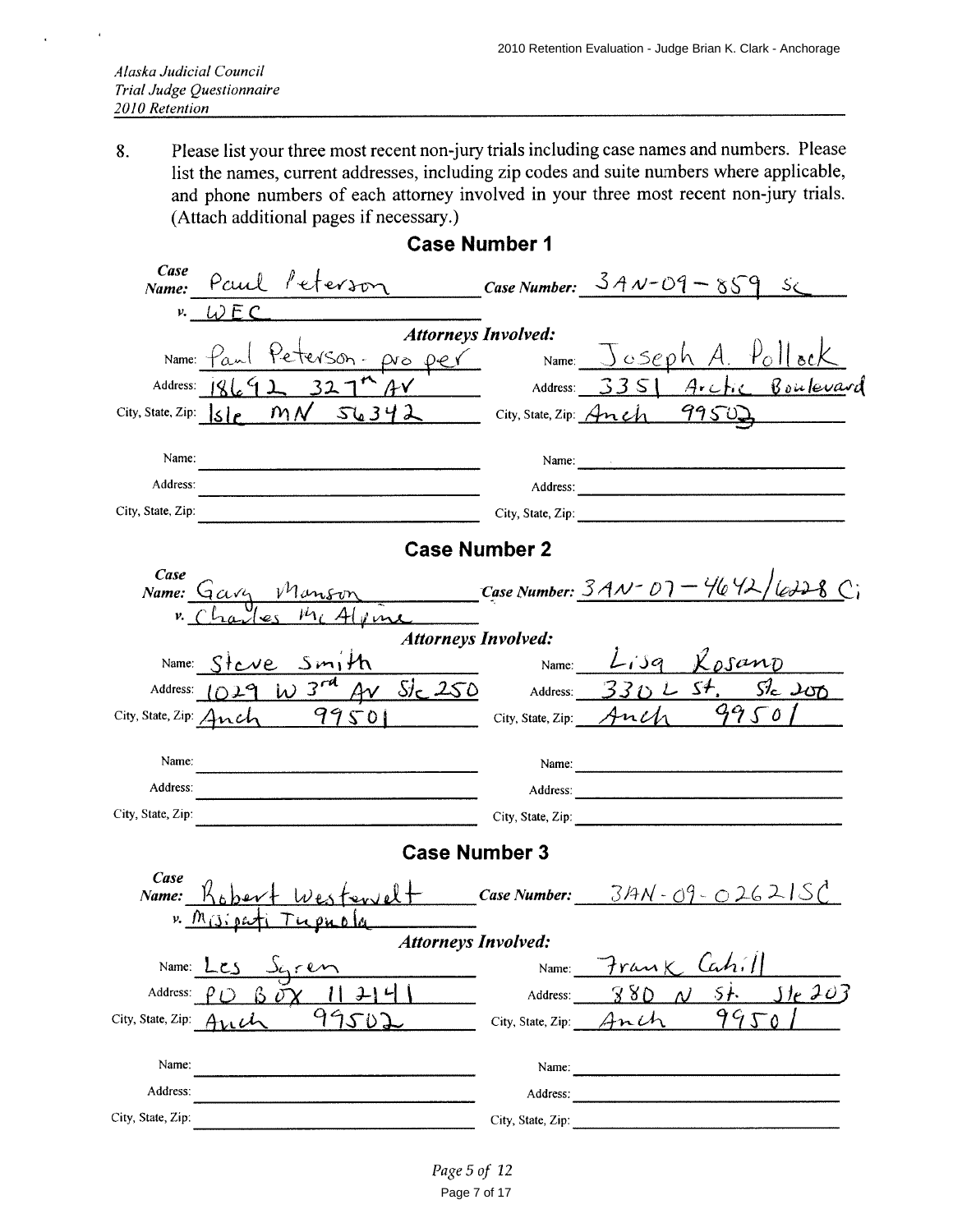Please list your three most recent non-jury trials including case names and numbers. Please 8. list the names, current addresses, including zip codes and suite numbers where applicable, and phone numbers of each attorney involved in your three most recent non-jury trials. (Attach additional pages if necessary.)

| Case<br>Paul Peterson<br>Name:                  | Case Number: $3A \vee 09 - 859$ S                                     |
|-------------------------------------------------|-----------------------------------------------------------------------|
| $v. \quad WEC$                                  |                                                                       |
|                                                 | <b>Attorneys Involved:</b>                                            |
| Peterson-pro per<br>Name: $\varphi_{\alpha\mu}$ | Name: $\bigsqcup$ $c$ Seph A. $P_0$ ll ock                            |
| Address:<br>AY<br>1869 J<br>32                  | Arctic Boulevard<br>$\sim$ Address: $335$                             |
| City, State, Zip: $ S e$ MN                     | $SU(342)$ City, State, Zip: Anch 99502                                |
| Name:                                           | Name:                                                                 |
| Address:                                        |                                                                       |
| City, State, Zip:                               | City, State, Zip:                                                     |
|                                                 | <b>Case Number 2</b>                                                  |
| Case                                            |                                                                       |
|                                                 | Name: $G\alpha v_1$ Manson Case Number: $3AV - D7 - 4642/a228$        |
| Alema                                           | <b>Attorneys Involved:</b>                                            |
| Name: Steve Smith                               | Name: $L$ <i>isq</i> $K$ <sub>p</sub> sano                            |
|                                                 | Address: 1029 W 3 <sup>rd</sup> AV Slc 250 Address: 330 L St. Slc 200 |
| City, State, Zip: Anch $99501$                  | 9950<br>$City$ , State, Zip: Anch                                     |
|                                                 |                                                                       |
| Name:                                           | Name:                                                                 |
| Address:                                        | Address:                                                              |
| City, State, Zip:                               | City, State, Zip: Electric City, State, Zip:                          |
|                                                 | <b>Case Number 3</b>                                                  |
| Case                                            | Case Number: $\frac{3A N - 09 - 026 \lambda}{s}$                      |
| Westervel<br>Name:<br>$v. \mathcal{M}_{(3)}$ or |                                                                       |
|                                                 | <b>Attorneys Involved:</b>                                            |
| Name:<br>r en                                   | lah'<br>rank<br>Name:                                                 |
| Address:                                        | <u>ste 203</u><br>5 <sub>1</sub><br>380<br>Address:                   |
| 9950<br>City, State, Zip:                       | 9950<br>City, State, Zip: $\lim_{\Delta}$                             |
|                                                 |                                                                       |
| Name:                                           | Name:                                                                 |
| Address:                                        | Address:                                                              |
| City, State, Zip:                               | City, State, Zip:                                                     |

**Case Number 1**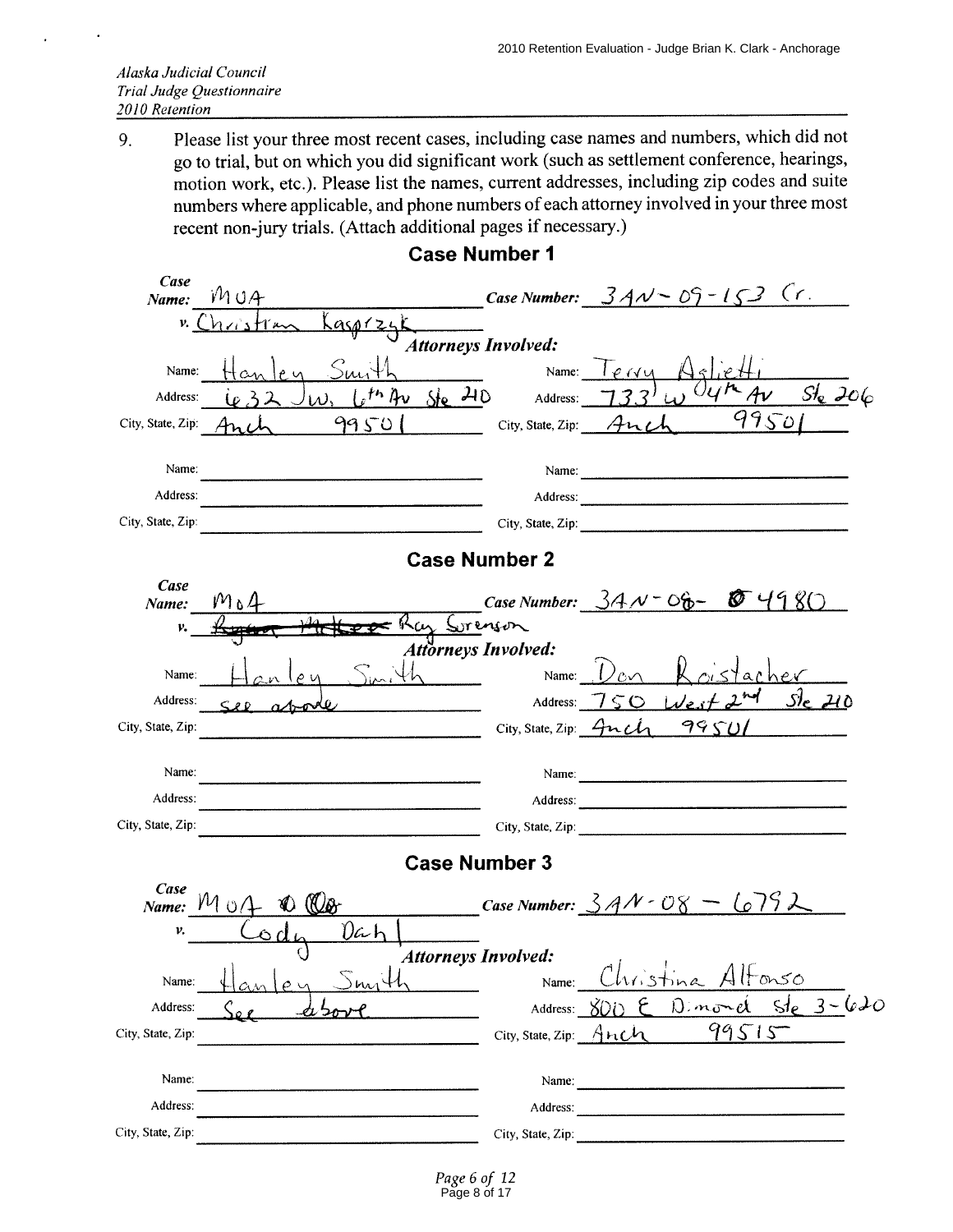Please list your three most recent cases, including case names and numbers, which did not 9. go to trial, but on which you did significant work (such as settlement conference, hearings, motion work, etc.). Please list the names, current addresses, including zip codes and suite numbers where applicable, and phone numbers of each attorney involved in your three most recent non-jury trials. (Attach additional pages if necessary.)

**Case Number 1** 

| Case<br>Name:     | MUA                                      |                                     | Case Number: $34N - 09 - 153$ (r.                              |
|-------------------|------------------------------------------|-------------------------------------|----------------------------------------------------------------|
| $v_{\cdot}$ (     | Kasprzyk<br>$h \times h \times h \times$ |                                     |                                                                |
|                   | <b>Attorneys Involved:</b>               |                                     |                                                                |
| Name:             |                                          |                                     | Name: $I$ $e$ $v$ $u$                                          |
| Address:          | $s^{th}$ Av Ste 210                      | Address:                            | $\overline{M_{AV}}$ $Sl_{e}$ 206                               |
| City, State, Zip: | 99501                                    | City, State, Zip: $\mathcal{A}$ nch | 99501                                                          |
| Name:             |                                          |                                     | Name:                                                          |
| Address:          |                                          |                                     |                                                                |
| City, State, Zip: |                                          |                                     |                                                                |
|                   | <b>Case Number 2</b>                     |                                     |                                                                |
| Case<br>Name:     | $M_04$                                   |                                     | Case Number: $34N - 06 - 6$ $4980$                             |
| v.                | cy Sorenson                              |                                     |                                                                |
|                   | <b>Attorneys Involved:</b>               |                                     |                                                                |
| Name:             |                                          | Name:                               |                                                                |
| Address:          | $\leq$ 2.0 $\geq$<br>$\alpha$ - $\alpha$ |                                     | HeA0<br>Address: $750$ West                                    |
| City, State, Zip: |                                          |                                     | City, State, Zip: 4nch 99501                                   |
| Name:             |                                          |                                     | Name:                                                          |
| Address:          |                                          |                                     |                                                                |
| City, State, Zip: |                                          |                                     | City, State, Zip: 2008. Experience of the State of Table 2014. |
|                   | <b>Case Number 3</b>                     |                                     |                                                                |
| Case<br>Name:     | $M_0/4$<br>$\circledast$                 |                                     | Case Number: $3AN-08 - 679L$                                   |
| ν.                | 0ah                                      |                                     |                                                                |
|                   | <b>Attorneys Involved:</b>               |                                     | the contract of the contract of the                            |
| Name:             |                                          | Name:                               | ms0<br>hristina                                                |
| Address:          |                                          | Address:                            | $3 - 620$<br>sle<br>$\mathfrak{D}$ .<br>nond<br>X()i           |
| City, State, Zip: |                                          | City, State, Zip: $A \cap C$        | 99515                                                          |
| Name:             |                                          | Name:                               |                                                                |
| Address:          |                                          | Address:                            |                                                                |
| City, State, Zip: |                                          | City, State, Zip:                   |                                                                |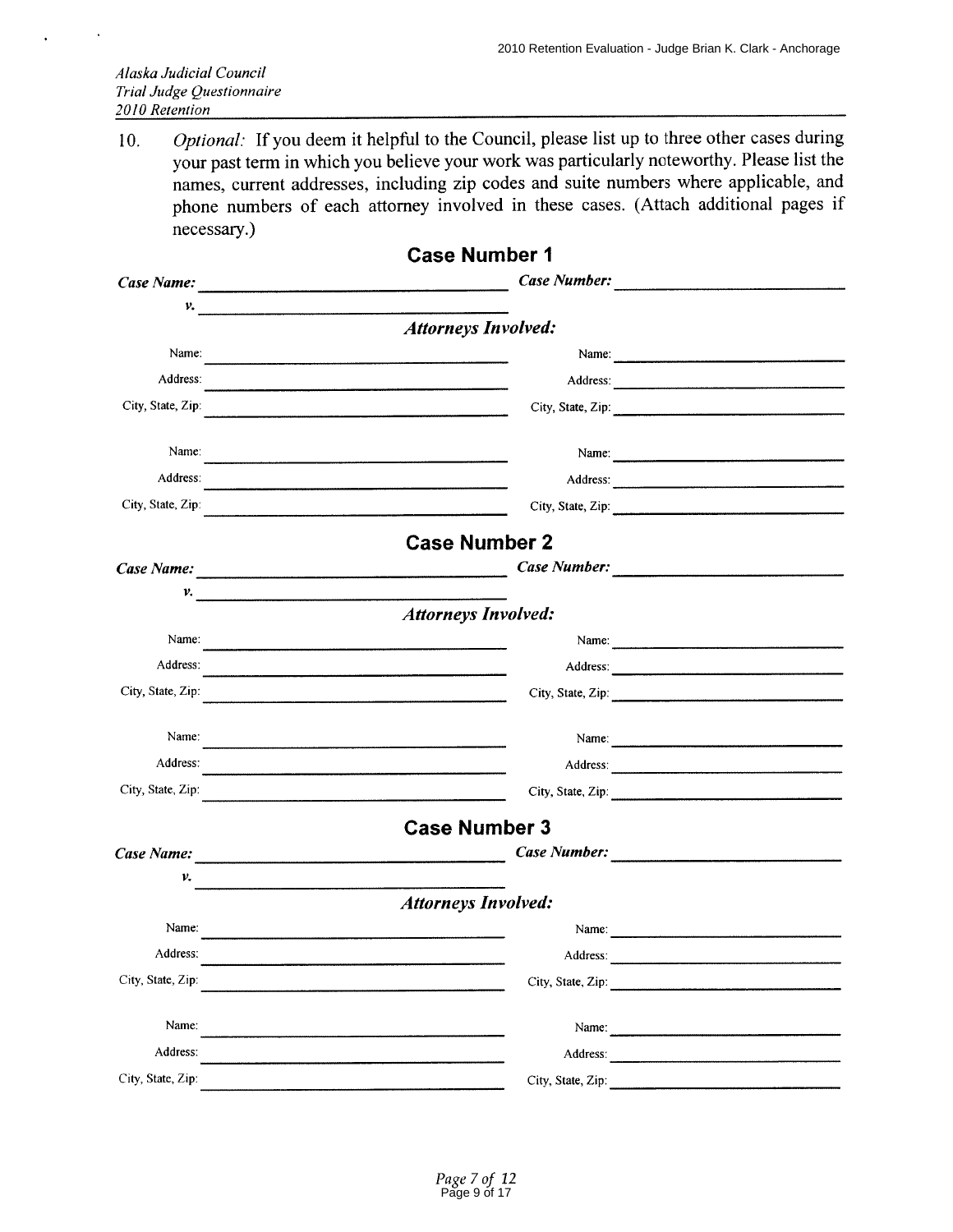Optional: If you deem it helpful to the Council, please list up to three other cases during 10. your past term in which you believe your work was particularly noteworthy. Please list the names, current addresses, including zip codes and suite numbers where applicable, and phone numbers of each attorney involved in these cases. (Attach additional pages if necessary.)

|                                                          | <b>Case Number 1</b>                                                                                                                                                                                                           |  |
|----------------------------------------------------------|--------------------------------------------------------------------------------------------------------------------------------------------------------------------------------------------------------------------------------|--|
|                                                          |                                                                                                                                                                                                                                |  |
| $\mathcal{V}$ , which is a construction of $\mathcal{V}$ |                                                                                                                                                                                                                                |  |
|                                                          | <b>Attorneys Involved:</b>                                                                                                                                                                                                     |  |
| Name:                                                    | Name: 2008.000 million and 2008.000 million and 2008.000 million and 2008.000 million and 2008.000 million and 2008.000 million and 2008.000 million and 2008.000 million and 2008.000 million and 2008.000 million and 2008.0 |  |
| Address:                                                 |                                                                                                                                                                                                                                |  |
| City, State, Zip:                                        |                                                                                                                                                                                                                                |  |
| Name:                                                    |                                                                                                                                                                                                                                |  |
| Address:                                                 |                                                                                                                                                                                                                                |  |
| City, State, Zip:                                        |                                                                                                                                                                                                                                |  |
|                                                          | <b>Case Number 2</b>                                                                                                                                                                                                           |  |
|                                                          |                                                                                                                                                                                                                                |  |
| v.                                                       |                                                                                                                                                                                                                                |  |
|                                                          | <b>Attorneys Involved:</b>                                                                                                                                                                                                     |  |
| Name:                                                    | <u> 1980 - Jan Barnett, fransk politiker (d. 1980)</u>                                                                                                                                                                         |  |
| Address:                                                 |                                                                                                                                                                                                                                |  |
| City, State, Zip:                                        | City, State, Zip: 2008. 2009. 2009. 2010. 2010. 2010. 2010. 2010. 2010. 2010. 2010. 2010. 2010. 2010. 2010. 20                                                                                                                 |  |
| Name:                                                    |                                                                                                                                                                                                                                |  |
| Address:                                                 |                                                                                                                                                                                                                                |  |
| City, State, Zip:                                        |                                                                                                                                                                                                                                |  |
|                                                          | <b>Case Number 3</b>                                                                                                                                                                                                           |  |
| Case Name: $\frac{1}{2}$ Manual Case Name:               |                                                                                                                                                                                                                                |  |
| ν.                                                       |                                                                                                                                                                                                                                |  |
|                                                          | <b>Attorneys Involved:</b>                                                                                                                                                                                                     |  |
| Name:                                                    | Name:                                                                                                                                                                                                                          |  |
| Address:                                                 | Address:                                                                                                                                                                                                                       |  |
| City, State, Zip:                                        | City, State, Zip:                                                                                                                                                                                                              |  |
| Name:                                                    |                                                                                                                                                                                                                                |  |
| Address:                                                 | Address:                                                                                                                                                                                                                       |  |
| City, State, Zip:                                        | City, State, Zip:                                                                                                                                                                                                              |  |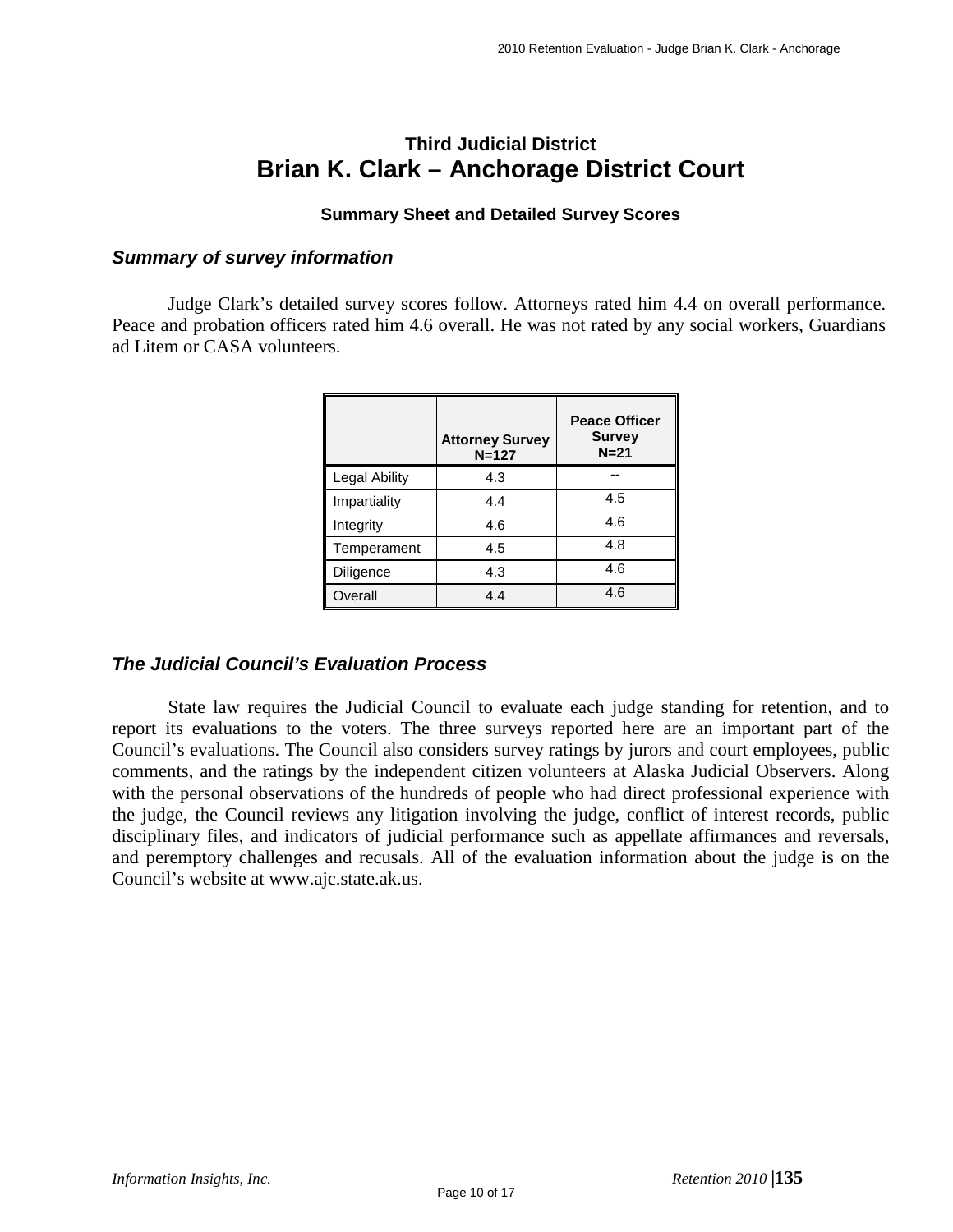## **Third Judicial District Brian K. Clark – Anchorage District Court**

#### **Summary Sheet and Detailed Survey Scores**

#### *Summary of survey information*

Judge Clark's detailed survey scores follow. Attorneys rated him 4.4 on overall performance. Peace and probation officers rated him 4.6 overall. He was not rated by any social workers, Guardians ad Litem or CASA volunteers.

|               | <b>Attorney Survey</b><br>$N = 127$ | <b>Peace Officer</b><br><b>Survey</b><br>$N=21$ |
|---------------|-------------------------------------|-------------------------------------------------|
| Legal Ability | 4.3                                 |                                                 |
| Impartiality  | 4.4                                 | 4.5                                             |
| Integrity     | 4.6                                 | 4.6                                             |
| Temperament   | 4.5                                 | 4.8                                             |
| Diligence     | 4.3                                 | 4.6                                             |
| Overall       | 4.4                                 | 4.6                                             |

#### *The Judicial Council's Evaluation Process*

State law requires the Judicial Council to evaluate each judge standing for retention, and to report its evaluations to the voters. The three surveys reported here are an important part of the Council's evaluations. The Council also considers survey ratings by jurors and court employees, public comments, and the ratings by the independent citizen volunteers at Alaska Judicial Observers. Along with the personal observations of the hundreds of people who had direct professional experience with the judge, the Council reviews any litigation involving the judge, conflict of interest records, public disciplinary files, and indicators of judicial performance such as appellate affirmances and reversals, and peremptory challenges and recusals. All of the evaluation information about the judge is on the Council's website at www.ajc.state.ak.us.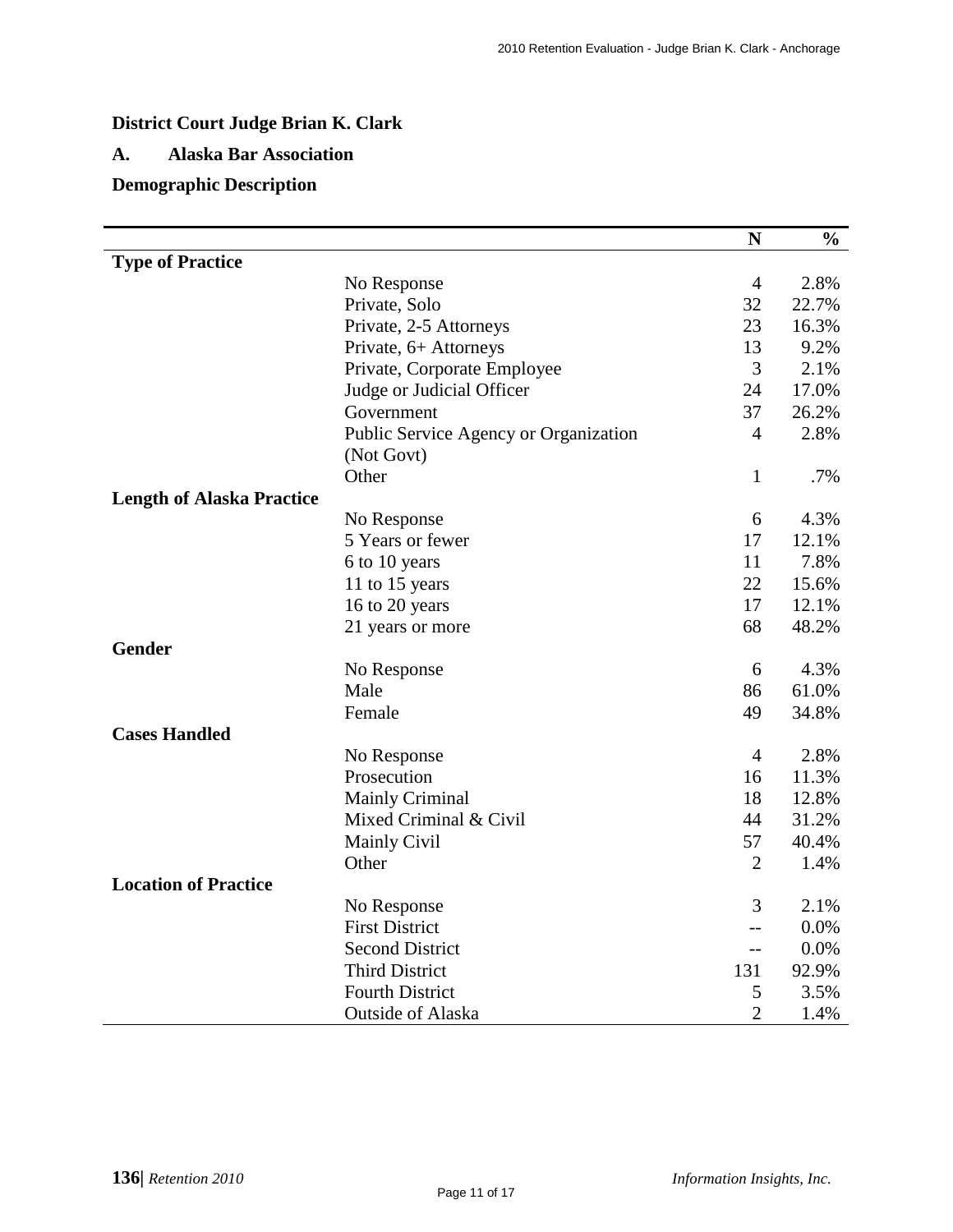## **District Court Judge Brian K. Clark**

#### **A. Alaska Bar Association**

## **Demographic Description**

|                                  |                                       | N              | $\frac{0}{0}$ |
|----------------------------------|---------------------------------------|----------------|---------------|
| <b>Type of Practice</b>          |                                       |                |               |
|                                  | No Response                           | $\overline{4}$ | 2.8%          |
|                                  | Private, Solo                         | 32             | 22.7%         |
|                                  | Private, 2-5 Attorneys                | 23             | 16.3%         |
|                                  | Private, 6+ Attorneys                 | 13             | 9.2%          |
|                                  | Private, Corporate Employee           | 3              | 2.1%          |
|                                  | Judge or Judicial Officer             | 24             | 17.0%         |
|                                  | Government                            | 37             | 26.2%         |
|                                  | Public Service Agency or Organization | $\overline{4}$ | 2.8%          |
|                                  | (Not Govt)                            |                |               |
|                                  | Other                                 | $\mathbf{1}$   | .7%           |
| <b>Length of Alaska Practice</b> |                                       |                |               |
|                                  | No Response                           | 6              | 4.3%          |
|                                  | 5 Years or fewer                      | 17             | 12.1%         |
|                                  | 6 to 10 years                         | 11             | 7.8%          |
|                                  | 11 to 15 years                        | 22             | 15.6%         |
|                                  | 16 to 20 years                        | 17             | 12.1%         |
|                                  | 21 years or more                      | 68             | 48.2%         |
| Gender                           |                                       |                |               |
|                                  | No Response                           | 6              | 4.3%          |
|                                  | Male                                  | 86             | 61.0%         |
|                                  | Female                                | 49             | 34.8%         |
| <b>Cases Handled</b>             |                                       |                |               |
|                                  | No Response                           | $\overline{4}$ | 2.8%          |
|                                  | Prosecution                           | 16             | 11.3%         |
|                                  | <b>Mainly Criminal</b>                | 18             | 12.8%         |
|                                  | Mixed Criminal & Civil                | 44             | 31.2%         |
|                                  | <b>Mainly Civil</b>                   | 57             | 40.4%         |
|                                  | Other                                 | $\overline{2}$ | 1.4%          |
| <b>Location of Practice</b>      |                                       |                |               |
|                                  | No Response                           | 3              | 2.1%          |
|                                  | <b>First District</b>                 | $-$            | 0.0%          |
|                                  | <b>Second District</b>                | $-$            | 0.0%          |
|                                  | <b>Third District</b>                 | 131            | 92.9%         |
|                                  | <b>Fourth District</b>                | 5              | 3.5%          |
|                                  | Outside of Alaska                     | $\overline{2}$ | 1.4%          |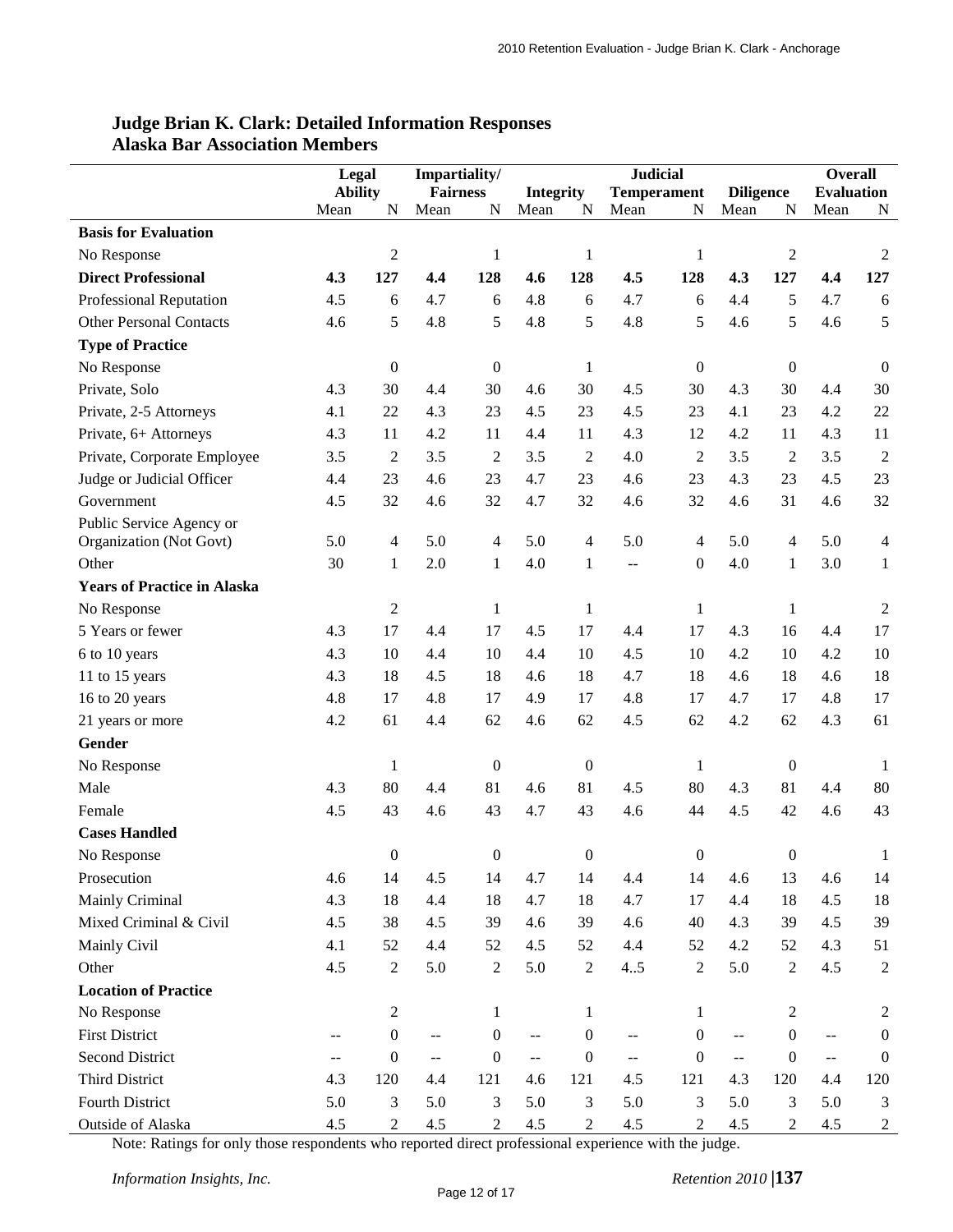|                                    | Legal          |                  | Impartiality/               |                  | <b>Judicial</b>          |                  |                                               |                  |                                               |                  | <b>Overall</b>    |                  |
|------------------------------------|----------------|------------------|-----------------------------|------------------|--------------------------|------------------|-----------------------------------------------|------------------|-----------------------------------------------|------------------|-------------------|------------------|
|                                    | <b>Ability</b> |                  | <b>Fairness</b>             |                  | <b>Integrity</b>         |                  | <b>Temperament</b>                            |                  | <b>Diligence</b>                              |                  | <b>Evaluation</b> |                  |
|                                    | Mean           | N                | Mean                        | N                | Mean                     | N                | Mean                                          | N                | Mean                                          | N                | Mean              | N                |
| <b>Basis for Evaluation</b>        |                |                  |                             |                  |                          |                  |                                               |                  |                                               |                  |                   |                  |
| No Response                        |                | $\mathfrak 2$    |                             | $\mathbf{1}$     |                          | $\mathbf{1}$     |                                               | $\mathbf{1}$     |                                               | $\sqrt{2}$       |                   | 2                |
| <b>Direct Professional</b>         | 4.3            | 127              | 4.4                         | 128              | 4.6                      | 128              | 4.5                                           | 128              | 4.3                                           | 127              | 4,4               | 127              |
| Professional Reputation            | 4.5            | 6                | 4.7                         | 6                | 4.8                      | 6                | 4.7                                           | 6                | 4.4                                           | 5                | 4.7               | 6                |
| <b>Other Personal Contacts</b>     | 4.6            | 5                | 4.8                         | 5                | 4.8                      | 5                | 4.8                                           | 5                | 4.6                                           | 5                | 4.6               | 5                |
| <b>Type of Practice</b>            |                |                  |                             |                  |                          |                  |                                               |                  |                                               |                  |                   |                  |
| No Response                        |                | $\boldsymbol{0}$ |                             | $\boldsymbol{0}$ |                          | $\mathbf{1}$     |                                               | $\boldsymbol{0}$ |                                               | $\boldsymbol{0}$ |                   | $\boldsymbol{0}$ |
| Private, Solo                      | 4.3            | 30               | 4.4                         | 30               | 4.6                      | 30               | 4.5                                           | 30               | 4.3                                           | 30               | 4.4               | 30               |
| Private, 2-5 Attorneys             | 4.1            | 22               | 4.3                         | 23               | 4.5                      | 23               | 4.5                                           | 23               | 4.1                                           | 23               | 4.2               | 22               |
| Private, 6+ Attorneys              | 4.3            | 11               | 4.2                         | 11               | 4.4                      | 11               | 4.3                                           | 12               | 4.2                                           | 11               | 4.3               | 11               |
| Private, Corporate Employee        | 3.5            | $\mathbf{2}$     | 3.5                         | $\overline{c}$   | 3.5                      | $\mathbf{2}$     | 4.0                                           | $\overline{c}$   | 3.5                                           | $\overline{c}$   | 3.5               | $\overline{2}$   |
| Judge or Judicial Officer          | 4.4            | 23               | 4.6                         | 23               | 4.7                      | 23               | 4.6                                           | 23               | 4.3                                           | 23               | 4.5               | 23               |
| Government                         | 4.5            | 32               | 4.6                         | 32               | 4.7                      | 32               | 4.6                                           | 32               | 4.6                                           | 31               | 4.6               | 32               |
| Public Service Agency or           |                |                  |                             |                  |                          |                  |                                               |                  |                                               |                  |                   |                  |
| Organization (Not Govt)            | 5.0            | 4                | 5.0                         | 4                | 5.0                      | $\overline{4}$   | 5.0                                           | 4                | 5.0                                           | $\overline{4}$   | 5.0               | $\overline{4}$   |
| Other                              | 30             | $\mathbf{1}$     | 2.0                         | $\mathbf{1}$     | 4.0                      | 1                | 44                                            | $\overline{0}$   | 4.0                                           | 1                | 3.0               | $\mathbf{1}$     |
| <b>Years of Practice in Alaska</b> |                |                  |                             |                  |                          |                  |                                               |                  |                                               |                  |                   |                  |
| No Response                        |                | $\boldsymbol{2}$ |                             | $\mathbf{1}$     |                          | 1                |                                               | 1                |                                               | $\mathbf{1}$     |                   | $\mathfrak{2}$   |
| 5 Years or fewer                   | 4.3            | 17               | 4.4                         | 17               | 4.5                      | 17               | 4.4                                           | 17               | 4.3                                           | 16               | 4.4               | 17               |
| 6 to 10 years                      | 4.3            | 10               | 4.4                         | 10               | 4.4                      | 10               | 4.5                                           | 10               | 4.2                                           | 10               | 4.2               | 10               |
| 11 to 15 years                     | 4.3            | 18               | 4.5                         | 18               | 4.6                      | 18               | 4.7                                           | 18               | 4.6                                           | 18               | 4.6               | 18               |
| 16 to 20 years                     | 4.8            | 17               | 4.8                         | 17               | 4.9                      | 17               | 4.8                                           | 17               | 4.7                                           | 17               | 4.8               | 17               |
| 21 years or more                   | 4.2            | 61               | 4.4                         | 62               | 4.6                      | 62               | 4.5                                           | 62               | 4.2                                           | 62               | 4.3               | 61               |
| Gender                             |                |                  |                             |                  |                          |                  |                                               |                  |                                               |                  |                   |                  |
| No Response                        |                | $\mathbf{1}$     |                             | $\boldsymbol{0}$ |                          | $\boldsymbol{0}$ |                                               | 1                |                                               | $\boldsymbol{0}$ |                   | -1               |
| Male                               | 4.3            | 80               | 4.4                         | 81               | 4.6                      | 81               | 4.5                                           | 80               | 4.3                                           | 81               | 4.4               | 80               |
| Female                             | 4.5            | 43               | 4.6                         | 43               | 4.7                      | 43               | 4.6                                           | 44               | 4.5                                           | 42               | 4.6               | 43               |
| <b>Cases Handled</b>               |                |                  |                             |                  |                          |                  |                                               |                  |                                               |                  |                   |                  |
| No Response                        |                | $\theta$         |                             | $\boldsymbol{0}$ |                          | $\boldsymbol{0}$ |                                               | 0                |                                               | $\boldsymbol{0}$ |                   |                  |
| Prosecution                        | 4.6            | 14               | 4.5                         | 14               | 4.7                      | 14               | 4.4                                           | 14               | 4.6                                           | 13               | 4.6               | 14               |
| Mainly Criminal                    | 4.3            | 18               | 4.4                         | 18               | 4.7                      | 18               | 4.7                                           | 17               | 4.4                                           | 18               | 4.5               | 18               |
| Mixed Criminal & Civil             | 4.5            | 38               | 4.5                         | 39               | 4.6                      | 39               | 4.6                                           | 40               | 4.3                                           | 39               | 4.5               | 39               |
| Mainly Civil                       | 4.1            | 52               | 4.4                         | 52               | 4.5                      | 52               | 4.4                                           | 52               | 4.2                                           | 52               | 4.3               | 51               |
| Other                              | 4.5            | $\overline{2}$   | 5.0                         | $\overline{2}$   | 5.0                      | $\overline{2}$   | 45                                            | 2                | 5.0                                           | 2                | 4.5               | 2                |
| <b>Location of Practice</b>        |                |                  |                             |                  |                          |                  |                                               |                  |                                               |                  |                   |                  |
| No Response                        |                | $\sqrt{2}$       |                             | $\mathbf{1}$     |                          | 1                |                                               | $\mathbf{1}$     |                                               | $\boldsymbol{2}$ |                   | 2                |
| <b>First District</b>              |                | $\boldsymbol{0}$ | --                          | $\boldsymbol{0}$ | $\sim$ $\sim$            | $\boldsymbol{0}$ | $\mathord{\hspace{1pt}\text{--}\hspace{1pt}}$ | $\boldsymbol{0}$ | $\mathord{\hspace{1pt}\text{--}\hspace{1pt}}$ | $\overline{0}$   | $\sim$ $-$        | $\boldsymbol{0}$ |
| <b>Second District</b>             | --             | $\boldsymbol{0}$ | $\mathcal{L}_{\mathcal{F}}$ | $\boldsymbol{0}$ | $\overline{\phantom{a}}$ | $\boldsymbol{0}$ | $\mathbb{L} \mathbb{L}$                       | $\mathbf{0}$     | $\mathord{\hspace{1pt}\text{--}\hspace{1pt}}$ | $\mathbf{0}$     | --                | $\boldsymbol{0}$ |
| <b>Third District</b>              | 4.3            | 120              | 4.4                         | 121              | 4.6                      | 121              | 4.5                                           | 121              | 4.3                                           | 120              | 4.4               | 120              |
| Fourth District                    | 5.0            | 3                | 5.0                         | 3                | 5.0                      | 3                | 5.0                                           | 3                | 5.0                                           | 3                | 5.0               | 3                |
| Outside of Alaska                  | 4.5            | 2                | 4.5                         | 2                | 4.5                      | 2                | 4.5                                           | 2                | 4.5                                           | 2                | 4.5               | $\overline{c}$   |

#### **Judge Brian K. Clark: Detailed Information Responses Alaska Bar Association Members**

Note: Ratings for only those respondents who reported direct professional experience with the judge.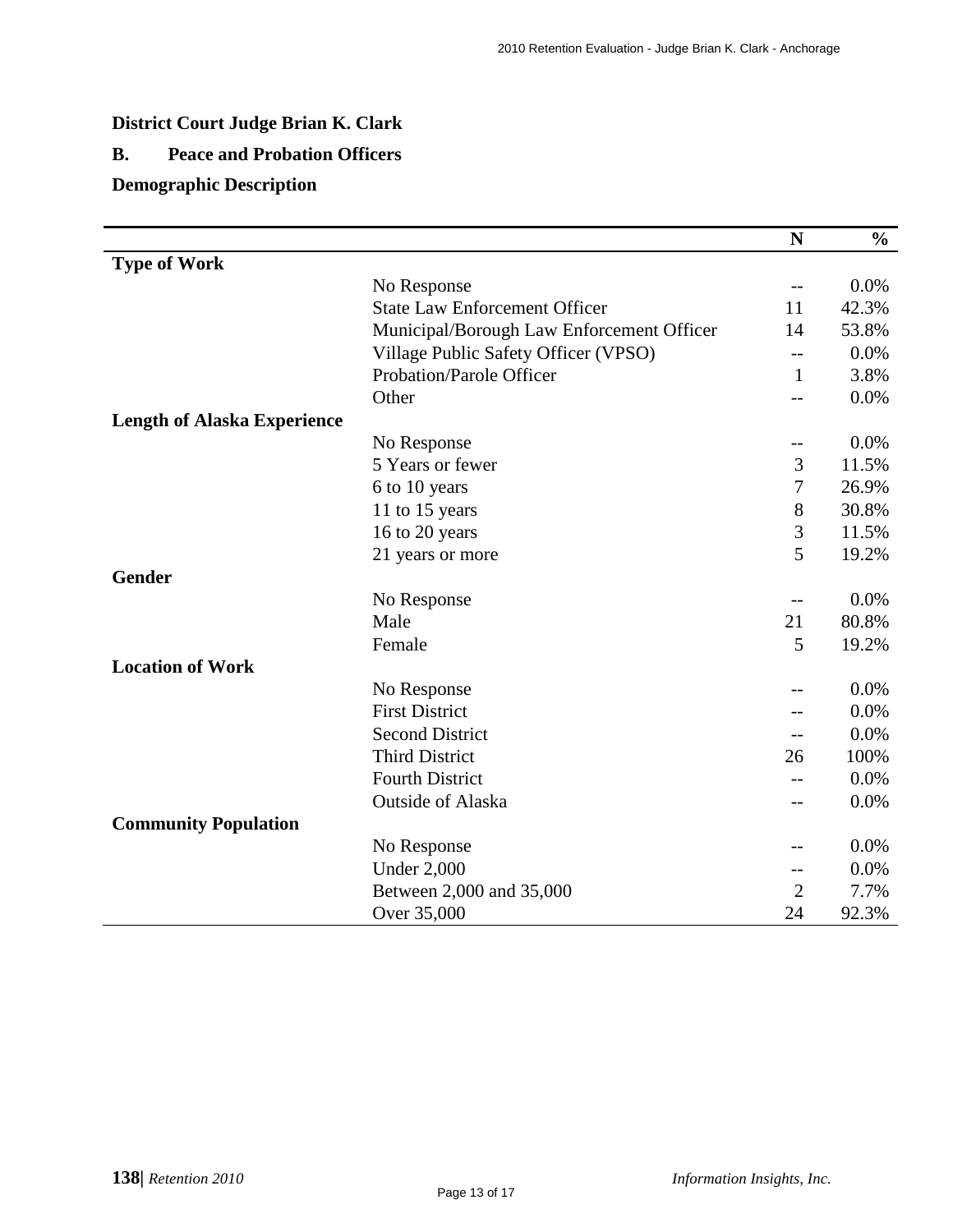## **District Court Judge Brian K. Clark**

## **B. Peace and Probation Officers**

## **Demographic Description**

|                                    |                                           | $\mathbf N$    | $\frac{6}{6}$ |
|------------------------------------|-------------------------------------------|----------------|---------------|
| <b>Type of Work</b>                |                                           |                |               |
|                                    | No Response                               | --             | 0.0%          |
|                                    | <b>State Law Enforcement Officer</b>      | 11             | 42.3%         |
|                                    | Municipal/Borough Law Enforcement Officer | 14             | 53.8%         |
|                                    | Village Public Safety Officer (VPSO)      | --             | 0.0%          |
|                                    | Probation/Parole Officer                  | 1              | 3.8%          |
|                                    | Other                                     | $-$            | 0.0%          |
| <b>Length of Alaska Experience</b> |                                           |                |               |
|                                    | No Response                               | --             | 0.0%          |
|                                    | 5 Years or fewer                          | 3              | 11.5%         |
|                                    | 6 to 10 years                             | 7              | 26.9%         |
|                                    | 11 to 15 years                            | $8\,$          | 30.8%         |
|                                    | 16 to 20 years                            | 3              | 11.5%         |
|                                    | 21 years or more                          | 5              | 19.2%         |
| <b>Gender</b>                      |                                           |                |               |
|                                    | No Response                               | --             | 0.0%          |
|                                    | Male                                      | 21             | 80.8%         |
|                                    | Female                                    | 5              | 19.2%         |
| <b>Location of Work</b>            |                                           |                |               |
|                                    | No Response                               | $-1$           | 0.0%          |
|                                    | <b>First District</b>                     | --             | 0.0%          |
|                                    | <b>Second District</b>                    | --             | 0.0%          |
|                                    | <b>Third District</b>                     | 26             | 100%          |
|                                    | <b>Fourth District</b>                    |                | 0.0%          |
|                                    | Outside of Alaska                         | --             | 0.0%          |
| <b>Community Population</b>        |                                           |                |               |
|                                    | No Response                               | --             | 0.0%          |
|                                    | <b>Under 2,000</b>                        | --             | 0.0%          |
|                                    | Between 2,000 and 35,000                  | $\overline{2}$ | 7.7%          |
|                                    | Over 35,000                               | 24             | 92.3%         |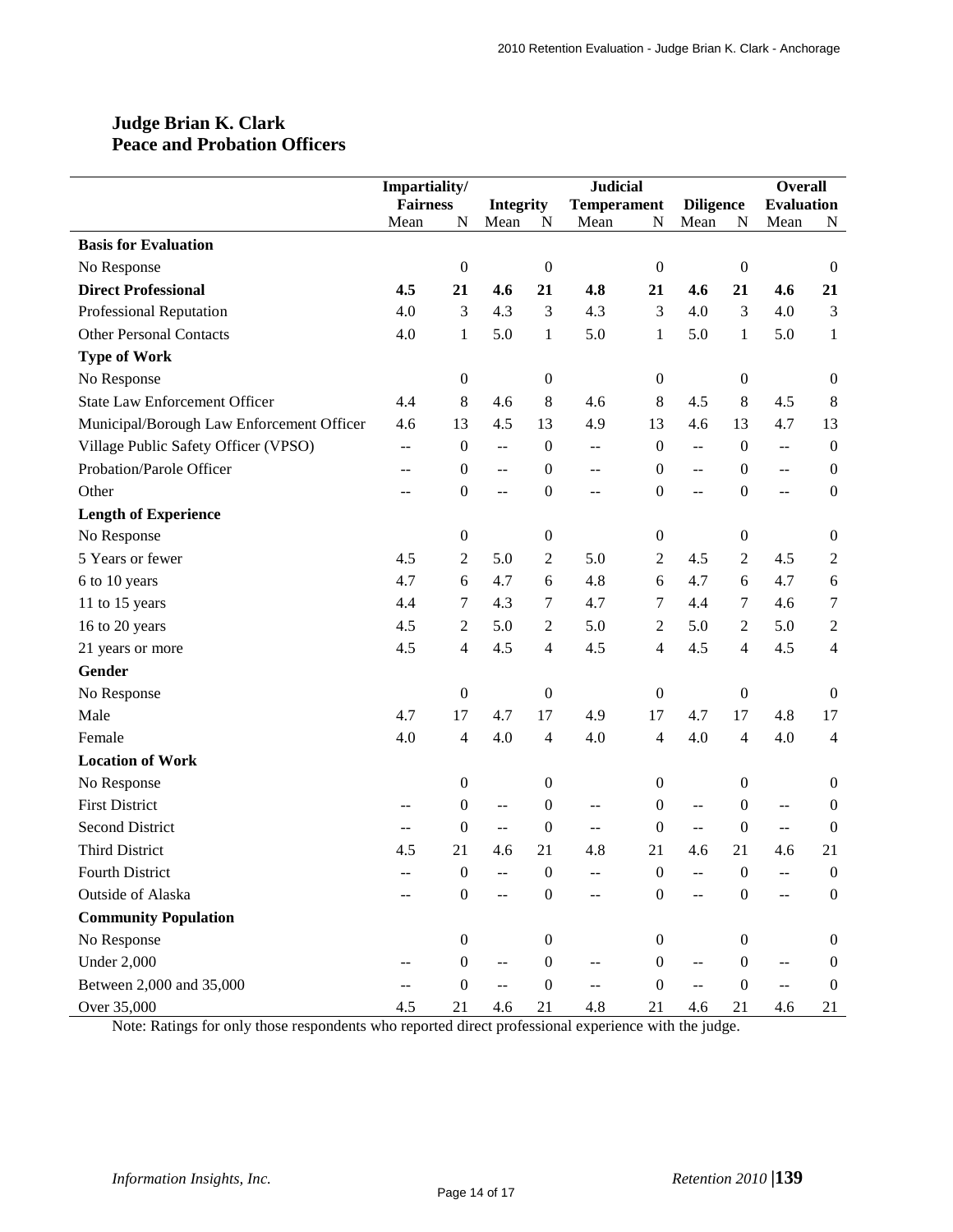### **Judge Brian K. Clark Peace and Probation Officers**

|                                           | Impartiality/   |                  |                          | <b>Judicial</b>  |                          |                  |                                               |                  | <b>Overall</b>    |                          |
|-------------------------------------------|-----------------|------------------|--------------------------|------------------|--------------------------|------------------|-----------------------------------------------|------------------|-------------------|--------------------------|
|                                           | <b>Fairness</b> |                  | <b>Integrity</b>         |                  | <b>Temperament</b>       |                  | <b>Diligence</b>                              |                  | <b>Evaluation</b> |                          |
|                                           | Mean            | N                | Mean                     | $\mathbf N$      | Mean                     | ${\bf N}$        | Mean                                          | ${\bf N}$        | Mean              | N                        |
| <b>Basis for Evaluation</b>               |                 |                  |                          |                  |                          |                  |                                               |                  |                   |                          |
| No Response                               |                 | $\boldsymbol{0}$ |                          | $\boldsymbol{0}$ |                          | $\boldsymbol{0}$ |                                               | $\boldsymbol{0}$ |                   | $\mathbf{0}$             |
| <b>Direct Professional</b>                | 4.5             | 21               | 4.6                      | 21               | 4.8                      | 21               | 4.6                                           | 21               | 4.6               | 21                       |
| Professional Reputation                   | 4.0             | 3                | 4.3                      | 3                | 4.3                      | 3                | 4.0                                           | $\mathfrak{Z}$   | 4.0               | 3                        |
| <b>Other Personal Contacts</b>            | 4.0             | $\mathbf{1}$     | 5.0                      | $\mathbf{1}$     | 5.0                      | $\mathbf{1}$     | 5.0                                           | $\mathbf{1}$     | 5.0               | $\mathbf{1}$             |
| <b>Type of Work</b>                       |                 |                  |                          |                  |                          |                  |                                               |                  |                   |                          |
| No Response                               |                 | $\boldsymbol{0}$ |                          | $\boldsymbol{0}$ |                          | $\boldsymbol{0}$ |                                               | $\boldsymbol{0}$ |                   | $\boldsymbol{0}$         |
| <b>State Law Enforcement Officer</b>      | 4.4             | 8                | 4.6                      | $\,8\,$          | 4.6                      | 8                | 4.5                                           | $\,8\,$          | 4.5               | 8                        |
| Municipal/Borough Law Enforcement Officer | 4.6             | 13               | 4.5                      | 13               | 4.9                      | 13               | 4.6                                           | 13               | 4.7               | 13                       |
| Village Public Safety Officer (VPSO)      | $\overline{a}$  | $\boldsymbol{0}$ | $\mathbb{L} \mathbb{L}$  | $\boldsymbol{0}$ | $\overline{\phantom{a}}$ | $\boldsymbol{0}$ | $\overline{a}$                                | $\boldsymbol{0}$ | $\overline{a}$    | $\boldsymbol{0}$         |
| Probation/Parole Officer                  | $-$             | $\boldsymbol{0}$ | $\overline{a}$           | $\boldsymbol{0}$ | --                       | $\boldsymbol{0}$ | $\overline{\phantom{a}}$                      | $\boldsymbol{0}$ | $\overline{a}$    | $\boldsymbol{0}$         |
| Other                                     | $-$             | $\boldsymbol{0}$ | $\overline{a}$           | $\boldsymbol{0}$ | $-$                      | 0                | $\overline{a}$                                | $\boldsymbol{0}$ | $\overline{a}$    | $\boldsymbol{0}$         |
| <b>Length of Experience</b>               |                 |                  |                          |                  |                          |                  |                                               |                  |                   |                          |
| No Response                               |                 | $\boldsymbol{0}$ |                          | $\boldsymbol{0}$ |                          | $\boldsymbol{0}$ |                                               | $\boldsymbol{0}$ |                   | $\boldsymbol{0}$         |
| 5 Years or fewer                          | 4.5             | $\overline{c}$   | 5.0                      | $\mathfrak{2}$   | 5.0                      | $\boldsymbol{2}$ | 4.5                                           | $\boldsymbol{2}$ | 4.5               | $\overline{c}$           |
| 6 to 10 years                             | 4.7             | 6                | 4.7                      | $\sqrt{6}$       | 4.8                      | 6                | 4.7                                           | 6                | 4.7               | 6                        |
| 11 to 15 years                            | 4.4             | 7                | 4.3                      | 7                | 4.7                      | 7                | 4.4                                           | 7                | 4.6               | 7                        |
| 16 to 20 years                            | 4.5             | $\overline{c}$   | 5.0                      | $\overline{c}$   | 5.0                      | $\mathbf{2}$     | 5.0                                           | $\boldsymbol{2}$ | 5.0               | $\mathfrak{2}$           |
| 21 years or more                          | 4.5             | 4                | 4.5                      | $\overline{4}$   | 4.5                      | 4                | 4.5                                           | $\overline{4}$   | 4.5               | $\overline{\mathcal{L}}$ |
| Gender                                    |                 |                  |                          |                  |                          |                  |                                               |                  |                   |                          |
| No Response                               |                 | $\boldsymbol{0}$ |                          | $\boldsymbol{0}$ |                          | $\boldsymbol{0}$ |                                               | $\boldsymbol{0}$ |                   | $\boldsymbol{0}$         |
| Male                                      | 4.7             | 17               | 4.7                      | 17               | 4.9                      | 17               | 4.7                                           | 17               | 4.8               | 17                       |
| Female                                    | 4.0             | $\overline{4}$   | 4.0                      | $\overline{4}$   | 4.0                      | 4                | 4.0                                           | $\overline{4}$   | 4.0               | 4                        |
| <b>Location of Work</b>                   |                 |                  |                          |                  |                          |                  |                                               |                  |                   |                          |
| No Response                               |                 | $\boldsymbol{0}$ |                          | $\boldsymbol{0}$ |                          | 0                |                                               | $\boldsymbol{0}$ |                   | $\boldsymbol{0}$         |
| <b>First District</b>                     | --              | $\boldsymbol{0}$ | $\overline{a}$           | $\boldsymbol{0}$ | --                       | $\boldsymbol{0}$ | $\sim$ $\sim$                                 | $\boldsymbol{0}$ | $-$               | $\boldsymbol{0}$         |
| <b>Second District</b>                    | --              | $\boldsymbol{0}$ | $\overline{\phantom{a}}$ | $\boldsymbol{0}$ | --                       | $\boldsymbol{0}$ | $\mathord{\hspace{1pt}\text{--}\hspace{1pt}}$ | $\boldsymbol{0}$ | $\sim$ $\sim$     | $\boldsymbol{0}$         |
| <b>Third District</b>                     | 4.5             | 21               | 4.6                      | 21               | 4.8                      | 21               | 4.6                                           | 21               | 4.6               | 21                       |
| Fourth District                           |                 | $\boldsymbol{0}$ |                          | $\boldsymbol{0}$ |                          | 0                |                                               | $\boldsymbol{0}$ |                   | $\boldsymbol{0}$         |
| Outside of Alaska                         |                 | $\boldsymbol{0}$ | $\overline{a}$           | $\boldsymbol{0}$ | $-$                      | $\boldsymbol{0}$ | $\overline{a}$                                | $\mathbf{0}$     | $\overline{a}$    | $\boldsymbol{0}$         |
| <b>Community Population</b>               |                 |                  |                          |                  |                          |                  |                                               |                  |                   |                          |
| No Response                               |                 | $\boldsymbol{0}$ |                          | $\boldsymbol{0}$ |                          | $\mathbf{0}$     |                                               | $\overline{0}$   |                   | $\overline{0}$           |
| <b>Under 2,000</b>                        |                 | $\boldsymbol{0}$ | --                       | $\boldsymbol{0}$ |                          | $\boldsymbol{0}$ |                                               | $\boldsymbol{0}$ |                   | $\boldsymbol{0}$         |
| Between 2,000 and 35,000                  | --              | $\boldsymbol{0}$ | $\overline{a}$           | $\boldsymbol{0}$ | --                       | $\boldsymbol{0}$ | $\overline{a}$                                | $\mathbf{0}$     | $-$               | $\boldsymbol{0}$         |
| Over 35,000                               | 4.5             | 21               | 4.6                      | 21               | 4.8                      | 21               | 4.6                                           | 21               | 4.6               | 21                       |

Note: Ratings for only those respondents who reported direct professional experience with the judge.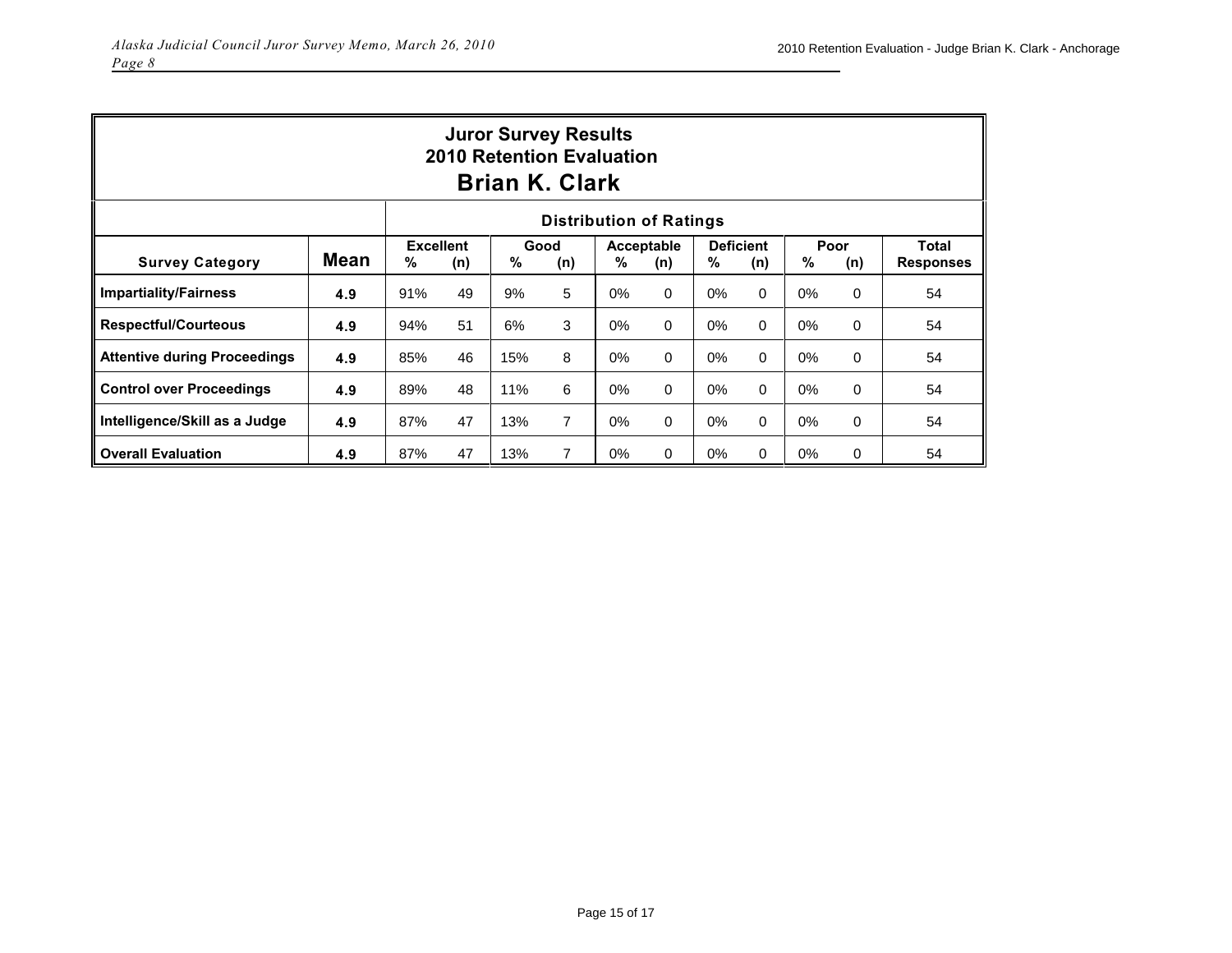| <b>Juror Survey Results</b><br><b>2010 Retention Evaluation</b><br><b>Brian K. Clark</b> |                                |             |    |                   |                |                         |             |             |                           |    |          |    |
|------------------------------------------------------------------------------------------|--------------------------------|-------------|----|-------------------|----------------|-------------------------|-------------|-------------|---------------------------|----|----------|----|
|                                                                                          | <b>Distribution of Ratings</b> |             |    |                   |                |                         |             |             |                           |    |          |    |
| <b>Survey Category</b>                                                                   | %                              | Good<br>(n) | %  | Acceptable<br>(n) | %              | <b>Deficient</b><br>(n) | %           | Poor<br>(n) | Total<br><b>Responses</b> |    |          |    |
| <b>Impartiality/Fairness</b>                                                             | 4.9                            | 91%         | 49 | 9%                | 5              | $0\%$                   | $\mathbf 0$ | $0\%$       | $\Omega$                  | 0% | 0        | 54 |
| <b>Respectful/Courteous</b>                                                              | 4.9                            | 94%         | 51 | 6%                | 3              | $0\%$                   | $\mathbf 0$ | $0\%$       | $\Omega$                  | 0% | 0        | 54 |
| <b>Attentive during Proceedings</b>                                                      | 4.9                            | 85%         | 46 | 15%               | 8              | $0\%$                   | $\mathbf 0$ | 0%          | 0                         | 0% | 0        | 54 |
| <b>Control over Proceedings</b>                                                          | 4.9                            | 89%         | 48 | 11%               | 6              | 0%                      | $\Omega$    | $0\%$       | $\Omega$                  | 0% | 0        | 54 |
| Intelligence/Skill as a Judge                                                            | 4.9                            | 87%         | 47 | 13%               | $\overline{7}$ | $0\%$                   | $\mathbf 0$ | $0\%$       | 0                         | 0% | 0        | 54 |
| <b>Overall Evaluation</b>                                                                | 4.9                            | 87%         | 47 | 13%               | $\overline{7}$ | 0%                      | $\mathbf 0$ | $0\%$       | 0                         | 0% | $\Omega$ | 54 |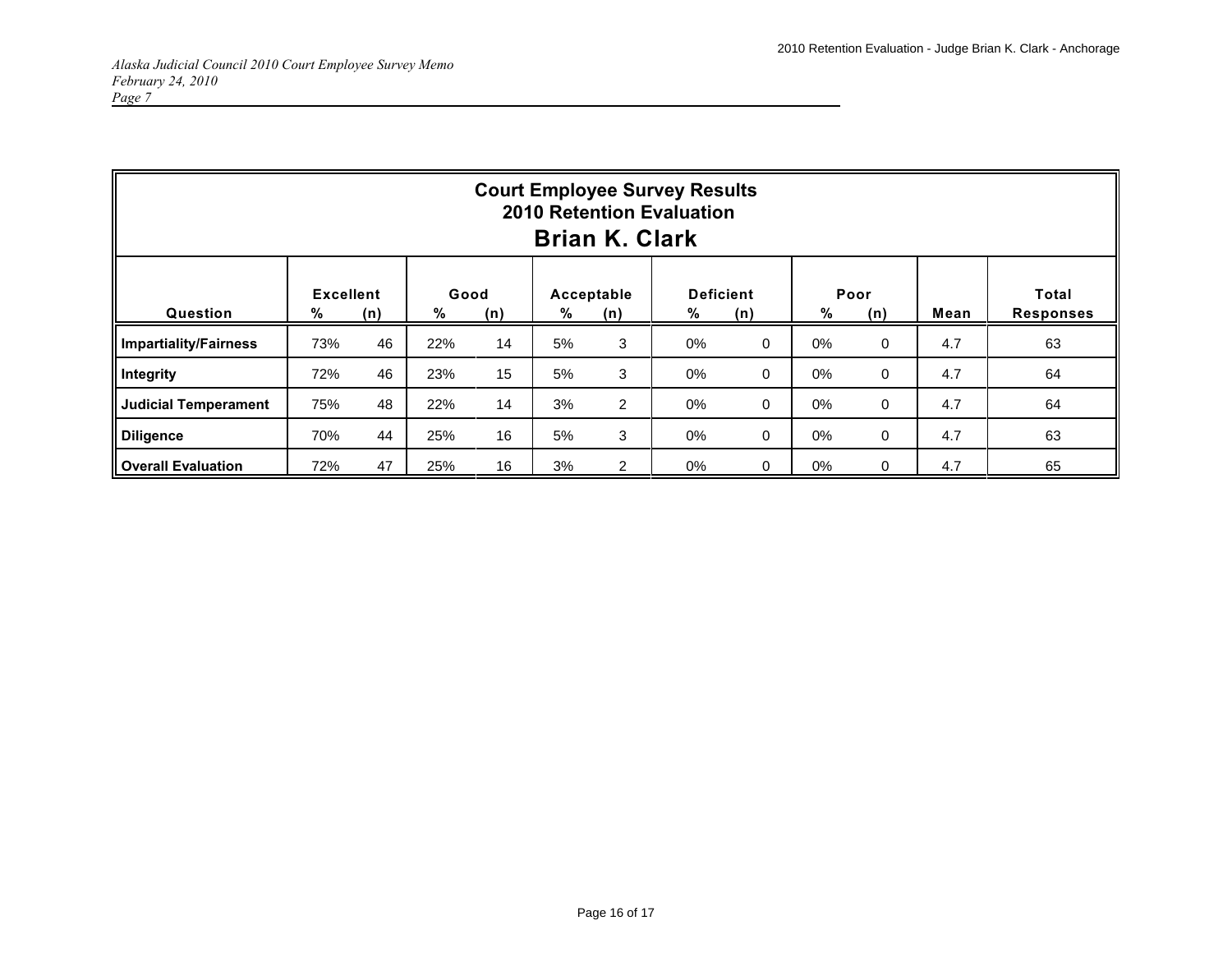|                              |                       |     |           |     |    | <b>Brian K. Clark</b> | <b>Court Employee Survey Results</b><br><b>2010 Retention Evaluation</b> |             |    |             |      |                           |
|------------------------------|-----------------------|-----|-----------|-----|----|-----------------------|--------------------------------------------------------------------------|-------------|----|-------------|------|---------------------------|
| Question                     | <b>Excellent</b><br>% | (n) | Good<br>% | (n) | %  | Acceptable<br>(n)     | <b>Deficient</b><br>%                                                    | (n)         | %  | Poor<br>(n) | Mean | Total<br><b>Responses</b> |
| <b>Impartiality/Fairness</b> | 73%                   | 46  | 22%       | 14  | 5% | 3                     | 0%                                                                       | $\mathbf 0$ | 0% | $\Omega$    | 4.7  | 63                        |
| Integrity                    | 72%                   | 46  | 23%       | 15  | 5% | 3                     | 0%                                                                       | 0           | 0% | $\mathbf 0$ | 4.7  | 64                        |
| <b>Judicial Temperament</b>  | 75%                   | 48  | 22%       | 14  | 3% | $\overline{2}$        | 0%                                                                       | $\mathbf 0$ | 0% | $\mathbf 0$ | 4.7  | 64                        |
| <b>Diligence</b>             | 70%                   | 44  | 25%       | 16  | 5% | 3                     | 0%                                                                       | $\mathbf 0$ | 0% | $\mathbf 0$ | 4.7  | 63                        |
| <b>Overall Evaluation</b>    | 72%                   | 47  | 25%       | 16  | 3% | $\overline{2}$        | 0%                                                                       | 0           | 0% | 0           | 4.7  | 65                        |